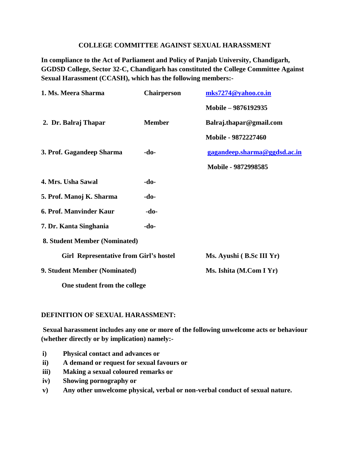## **COLLEGE COMMITTEE AGAINST SEXUAL HARASSMENT**

**In compliance to the Act of Parliament and Policy of Panjab University, Chandigarh, GGDSD College, Sector 32-C, Chandigarh has constituted the College Committee Against Sexual Harassment (CCASH), which has the following members:-**

| 1. Ms. Meera Sharma                           | <b>Chairperson</b> | mks7274@yahoo.co.in          |
|-----------------------------------------------|--------------------|------------------------------|
|                                               |                    | Mobile – 9876192935          |
| 2. Dr. Balraj Thapar                          | <b>Member</b>      | Balraj.thapar@gmail.com      |
|                                               |                    | Mobile - 9872227460          |
| 3. Prof. Gagandeep Sharma                     | -do-               | gagandeep.sharma@ggdsd.ac.in |
|                                               |                    | Mobile - 9872998585          |
| 4. Mrs. Usha Sawal                            | -do-               |                              |
| 5. Prof. Manoj K. Sharma                      | $-do-$             |                              |
| 6. Prof. Manvinder Kaur                       | -do-               |                              |
| 7. Dr. Kanta Singhania                        | -do-               |                              |
| 8. Student Member (Nominated)                 |                    |                              |
| <b>Girl Representative from Girl's hostel</b> |                    | Ms. Ayushi (B.Sc III Yr)     |
| 9. Student Member (Nominated)                 |                    | Ms. Ishita (M.Com I Yr)      |
| One student from the college                  |                    |                              |

## **DEFINITION OF SEXUAL HARASSMENT:**

**Sexual harassment includes any one or more of the following unwelcome acts or behaviour (whether directly or by implication) namely:-**

- **i) Physical contact and advances or**
- **ii) A demand or request for sexual favours or**
- **iii) Making a sexual coloured remarks or**
- **iv) Showing pornography or**
- **v) Any other unwelcome physical, verbal or non-verbal conduct of sexual nature.**